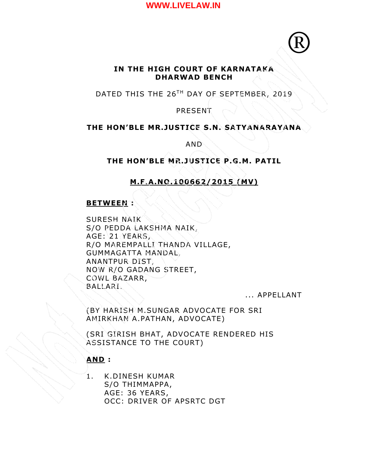®

# **IN THE HIGH COURT OF KARNATAKA DHARWAD BENCH**

DATED THIS THE 26<sup>TH</sup> DAY OF SEPTEMBER, 2019

**PRESENT** 

# **THE HON'BLE MR.JUSTICE S.N. SATYANARAYANA**

AND

# **THE HON'BLE MR.JUSTICE P.G.M. PATIL**

# **M.F.A.NO.100662/2015 (MV)**

#### **BETWEEN :**

SURESH NAIK S/O PEDDA LAKSHMA NAIK, AGE: 21 YEARS, R/O MAREMPALLI THANDA VILLAGE, GUMMAGATTA MANDAL, ANANTPUR DIST, NOW R/O GADANG STREET, COWL BAZARR, BALLARI.

... APPELLANT

(BY HARISH M.SUNGAR ADVOCATE FOR SRI AMIRKHAN A.PATHAN, ADVOCATE)

(SRI GIRISH BHAT, ADVOCATE RENDERED HIS ASSISTANCE TO THE COURT)

#### **AND :**

1. K.DINESH KUMAR S/O THIMMAPPA, AGE: 36 YEARS, OCC: DRIVER OF APSRTC DGT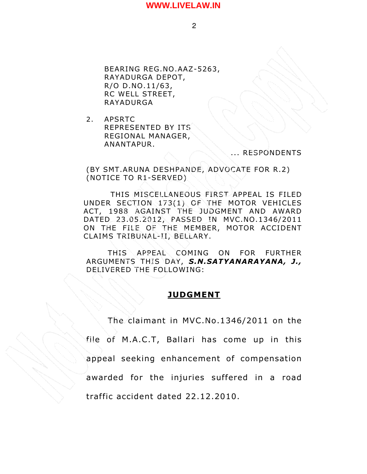2

BEARING REG.NO.AAZ-5263, RAYADURGA DEPOT, R/O D.NO.11/63, RC WELL STREET, RAYADURGA

2. APSRTC REPRESENTED BY ITS REGIONAL MANAGER, ANANTAPUR.

#### ... RESPONDENTS

(BY SMT.ARUNA DESHPANDE, ADVOCATE FOR R.2) (NOTICE TO R1-SERVED)

THIS MISCELLANEOUS FIRST APPEAL IS FILED UNDER SECTION 173(1) OF THE MOTOR VEHICLES ACT, 1988 AGAINST THE JUDGMENT AND AWARD DATED 23 .05.2012, PASSED IN MVC.NO.1346/2011 ON THE FILE OF THE MEMBER, MOTOR ACCIDENT CLAIMS TRIBUNAL-II, BELLARY.

 THIS APPEAL COMING ON FOR FURTHER ARGUMENTS THIS DAY, *S.N.SATYANARAYANA, J.,* DELIVERED THE FOLLOWING:

# **JUDGMENT**

The claimant in MVC.No.1346/2011 on the file of M.A.C.T, Ballari has come up in this appeal seeking enhancement of compensation awarded for the injuries suffered in a road traffic accident dated 22.12.2010.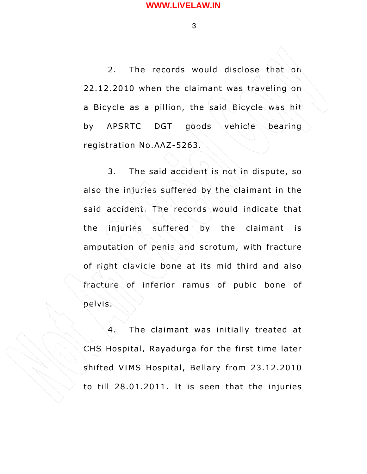3

2. The records would disclose that on 22.12.2010 when the claimant was traveling on a Bicycle as a pillion, the said Bicycle was hit by APSRTC DGT goods vehicle bearing registration No.AAZ-5263.

3. The said accident is not in dispute, so also the injuries suffered by the claimant in the said accident. The records would indicate that the injuries suffered by the claimant is amputation of penis and scrotum, with fracture of right clavicle bone at its mid third and also fracture of inferior ramus of pubic bone of pelvis.

4. The claimant was initially treated at CHS Hospital, Rayadurga for the first time later shifted VIMS Hospital, Bellary from 23.12.2010 to till 28.01.2011. It is seen that the injuries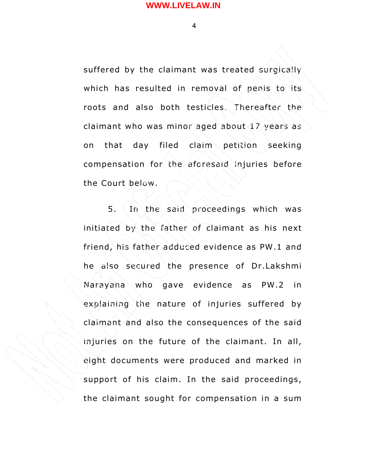4

suffered by the claimant was treated surgically which has resulted in removal of penis to its roots and also both testicles. Thereafter the claimant who was minor aged about 17 years as on that day filed claim petition seeking compensation for the aforesaid injuries before the Court below.

5. In the said proceedings which was initiated by the father of claimant as his next friend, his father adduced evidence as PW.1 and he also secured the presence of Dr.Lakshmi Narayana who gave evidence as PW.2 in explaining the nature of injuries suffered by claimant and also the consequences of the said injuries on the future of the claimant. In all, eight documents were produced and marked in support of his claim. In the said proceedings, the claimant sought for compensation in a sum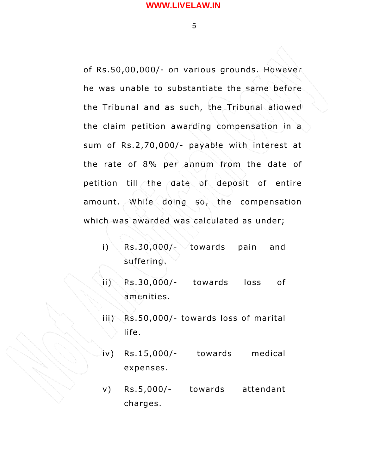5

of Rs.50,00,000/- on various grounds. However he was unable to substantiate the same before the Tribunal and as such, the Tribunal allowed the claim petition awarding compensation in a sum of Rs.2,70,000/- payable with interest at the rate of 8% per annum from the date of petition till the date of deposit of entire amount. While doing so, the compensation which was awarded was calculated as under;

i) Rs.30,000/- towards pain and suffering.

ii) Rs.30,000/- towards loss of amenities.

 $iii)$  Rs.50,000/- towards loss of marital life.

iv) Rs.15,000/- towards medical expenses.

v) Rs.5,000/- towards attendant charges.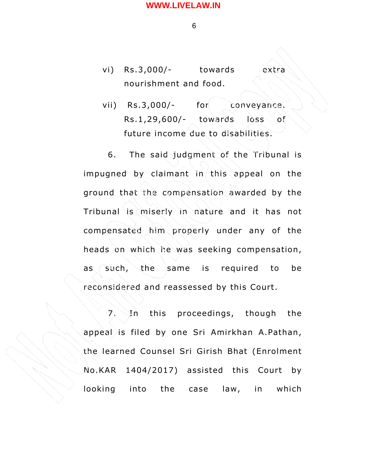6

- vi) Rs.3,000/- towards extra nourishment and food.
- vii) Rs.3,000/- for conveyance. Rs.1,29,600/- towards loss of future income due to disabilities.

6. The said judgment of the Tribunal is impugned by claimant in this appeal on the ground that the compensation awarded by the Tribunal is miserly in nature and it has not compensated him properly under any of the heads on which he was seeking compensation, as such, the same is required to be reconsidered and reassessed by this Court.

7. In this proceedings, though the appeal is filed by one Sri Amirkhan A.Pathan, the learned Counsel Sri Girish Bhat (Enrolment No.KAR 1404/2017) assisted this Court by looking into the case law, in which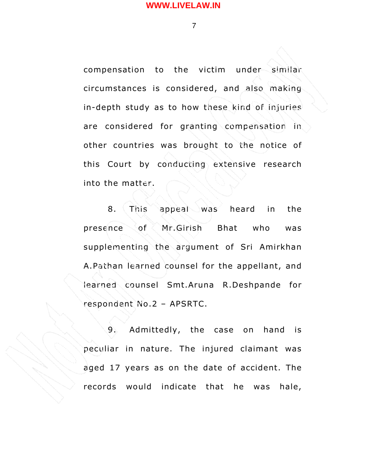7

compensation to the victim under similar circumstances is considered, and also making in-depth study as to how these kind of injuries are considered for granting compensation in other countries was brought to the notice of this Court by conducting extensive research into the matter.

8. This appeal was heard in the presence of Mr.Girish Bhat who was supplementing the argument of Sri Amirkhan A.Pathan learned counsel for the appellant, and learned counsel Smt.Aruna R.Deshpande for respondent No.2 – APSRTC.

9. Admittedly, the case on hand is peculiar in nature. The injured claimant was aged 17 years as on the date of accident. The records would indicate that he was hale,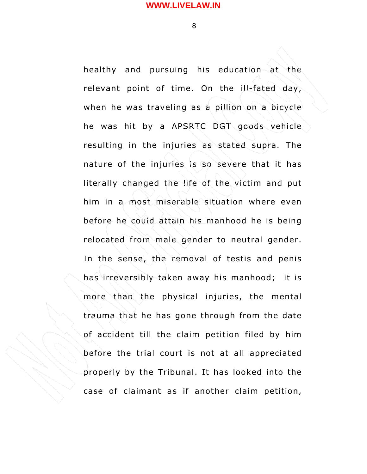8

healthy and pursuing his education at the relevant point of time. On the ill-fated day, when he was traveling as a pillion on a bicycle he was hit by a APSRTC DGT goods vehicle resulting in the injuries as stated supra. The nature of the injuries is so severe that it has literally changed the life of the victim and put him in a most miserable situation where even before he could attain his manhood he is being relocated from male gender to neutral gender. In the sense, the removal of testis and penis has irreversibly taken away his manhood; it is more than the physical injuries, the mental trauma that he has gone through from the date of accident till the claim petition filed by him before the trial court is not at all appreciated properly by the Tribunal. It has looked into the case of claimant as if another claim petition,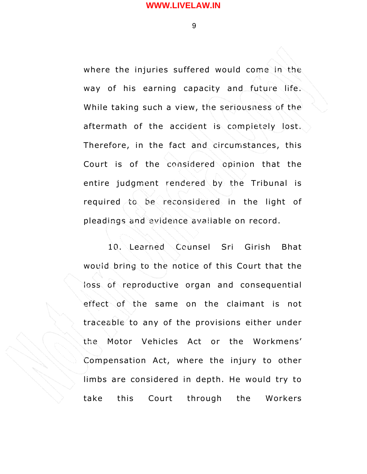9

where the injuries suffered would come in the way of his earning capacity and future life. While taking such a view, the seriousness of the aftermath of the accident is completely lost. Therefore, in the fact and circumstances, this Court is of the considered opinion that the entire judgment rendered by the Tribunal is required to be reconsidered in the light of pleadings and evidence available on record.

10. Learned Counsel Sri Girish Bhat would bring to the notice of this Court that the loss of reproductive organ and consequential effect of the same on the claimant is not traceable to any of the provisions either under the Motor Vehicles Act or the Workmens' Compensation Act, where the injury to other limbs are considered in depth. He would try to take this Court through the Workers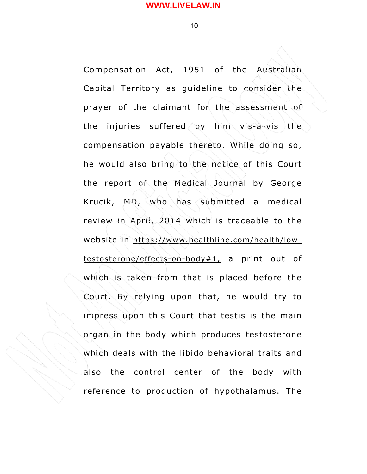10

Compensation Act, 1951 of the Australian Capital Territory as guideline to consider the prayer of the claimant for the assessment of the injuries suffered by him vis-à-vis the compensation payable thereto. While doing so, he would also bring to the notice of this Court the report of the Medical Journal by George Krucik, MD, who has submitted a medical review in April, 2014 which is traceable to the website in https://www.healthline.com/health/low $testosterone/effects-on-body#1, a print out of$ which is taken from that is placed before the Court. By relying upon that, he would try to impress upon this Court that testis is the main organ in the body which produces testosterone which deals with the libido behavioral traits and also the control center of the body with reference to production of hypothalamus. The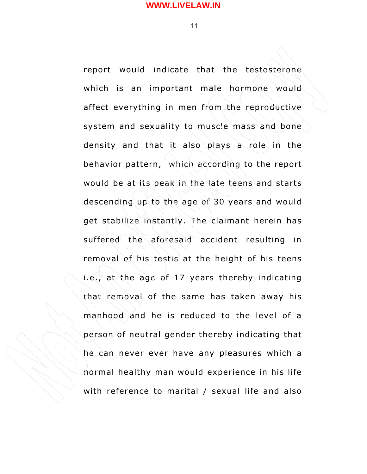11

report would indicate that the testosterone which is an important male hormone would affect everything in men from the reproductive system and sexuality to muscle mass and bone density and that it also plays a role in the behavior pattern, which according to the report would be at its peak in the late teens and starts descending up to the age of 30 years and would get stabilize instantly. The claimant herein has suffered the aforesaid accident resulting in removal of his testis at the height of his teens i.e., at the age of 17 years thereby indicating that removal of the same has taken away his manhood and he is reduced to the level of a person of neutral gender thereby indicating that he can never ever have any pleasures which a normal healthy man would experience in his life with reference to marital / sexual life and also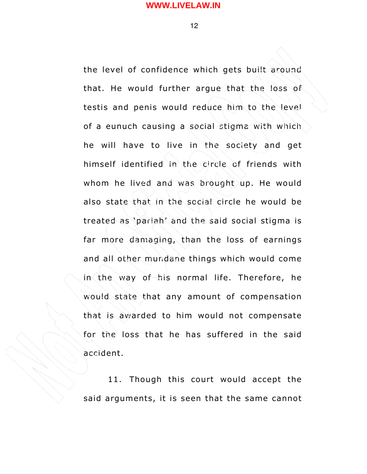12

the level of confidence which gets built around that. He would further argue that the loss of testis and penis would reduce him to the level of a eunuch causing a social stigma with which he will have to live in the society and get himself identified in the circle of friends with whom he lived and was brought up. He would also state that in the social circle he would be treated as 'pariah' and the said social stigma is far more damaging, than the loss of earnings and all other mundane things which would come in the way of his normal life. Therefore, he would state that any amount of compensation that is awarded to him would not compensate for the loss that he has suffered in the said accident.

11. Though this court would accept the said arguments, it is seen that the same cannot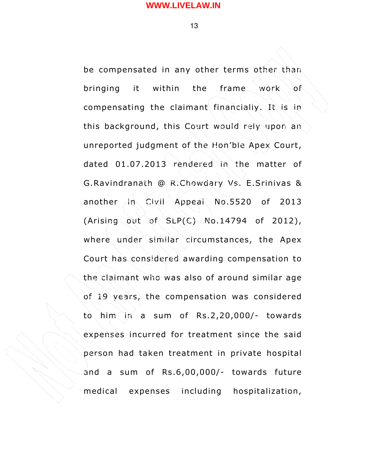13

be compensated in any other terms other than bringing it within the frame work of compensating the claimant financially. It is in this background, this Court would rely upon an unreported judgment of the Hon'ble Apex Court, dated 01.07.2013 rendered in the matter of G.Ravindranath @ R.Chowdary Vs. E.Srinivas & another in Civil Appeal No.5520 of 2013 (Arising out of  $SLP(C)$  No.14794 of 2012), where under similar circumstances, the Apex Court has considered awarding compensation to the claimant who was also of around similar age of 19 years, the compensation was considered to him in a sum of Rs.2,20,000/- towards expenses incurred for treatment since the said person had taken treatment in private hospital and a sum of Rs.6,00,000/- towards future medical expenses including hospitalization,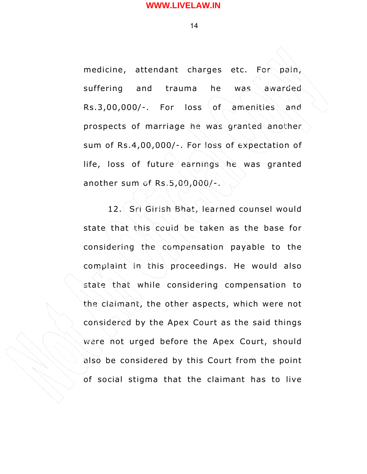14

medicine, attendant charges etc. For pain, suffering and trauma he was awarded Rs.3,00,000/-. For loss of amenities and prospects of marriage he was granted another sum of Rs.4,00,000/-. For loss of expectation of life, loss of future earnings he was granted another sum of Rs.5,00,000/-.

12. Sri Girish Bhat, learned counsel would state that this could be taken as the base for considering the compensation payable to the complaint in this proceedings. He would also state that while considering compensation to the claimant, the other aspects, which were not considered by the Apex Court as the said things were not urged before the Apex Court, should also be considered by this Court from the point of social stigma that the claimant has to live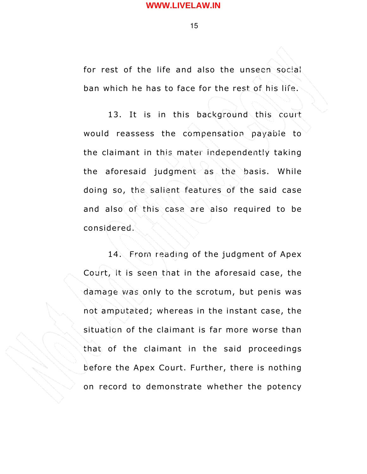15

for rest of the life and also the unseen social ban which he has to face for the rest of his life.

13. It is in this background this court would reassess the compensation payable to the claimant in this mater independently taking the aforesaid judgment as the basis. While doing so, the salient features of the said case and also of this case are also required to be considered.

14. From reading of the judgment of Apex Court, it is seen that in the aforesaid case, the damage was only to the scrotum, but penis was not amputated; whereas in the instant case, the situation of the claimant is far more worse than that of the claimant in the said proceedings before the Apex Court. Further, there is nothing on record to demonstrate whether the potency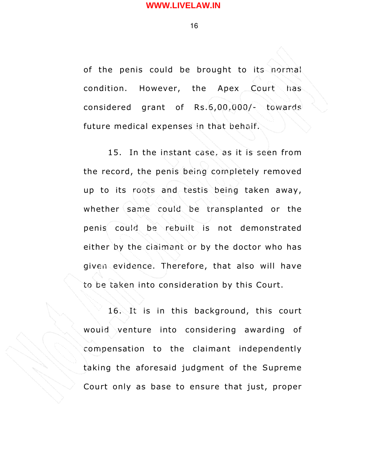16

of the penis could be brought to its normal condition. However, the Apex Court has considered grant of Rs.6,00,000/- towards future medical expenses in that behalf.

15. In the instant case, as it is seen from the record, the penis being completely removed up to its roots and testis being taken away, whether same could be transplanted or the penis could be rebuilt is not demonstrated either by the claimant or by the doctor who has given evidence. Therefore, that also will have to be taken into consideration by this Court.

16. It is in this background, this court would venture into considering awarding of compensation to the claimant independently taking the aforesaid judgment of the Supreme Court only as base to ensure that just, proper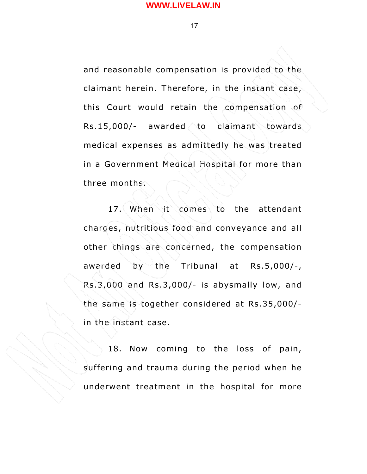17

and reasonable compensation is provided to the claimant herein. Therefore, in the instant case, this Court would retain the compensation of Rs.15,000/- awarded to claimant towards medical expenses as admittedly he was treated in a Government Medical Hospital for more than three months.

17. When it comes to the attendant charges, nutritious food and conveyance and all other things are concerned, the compensation awarded by the Tribunal at Rs.5,000/-, Rs.3,000 and Rs.3,000/- is abysmally low, and the same is together considered at Rs.35,000/ in the instant case.

18. Now coming to the loss of pain, suffering and trauma during the period when he underwent treatment in the hospital for more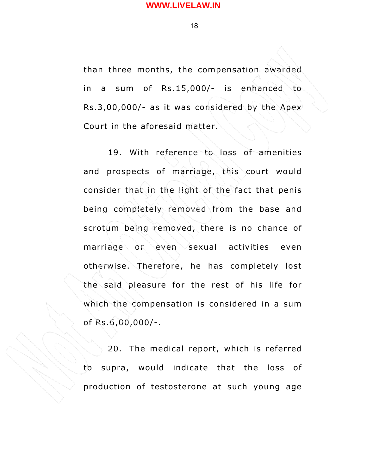18

than three months, the compensation awarded in a sum of Rs.15,000/- is enhanced to Rs.3,00,000/- as it was considered by the Apex Court in the aforesaid matter.

19. With reference to loss of amenities and prospects of marriage, this court would consider that in the light of the fact that penis being completely removed from the base and scrotum being removed, there is no chance of marriage or even sexual activities even otherwise. Therefore, he has completely lost the said pleasure for the rest of his life for which the compensation is considered in a sum of Rs.6,00,000/-.

20. The medical report, which is referred to supra, would indicate that the loss of production of testosterone at such young age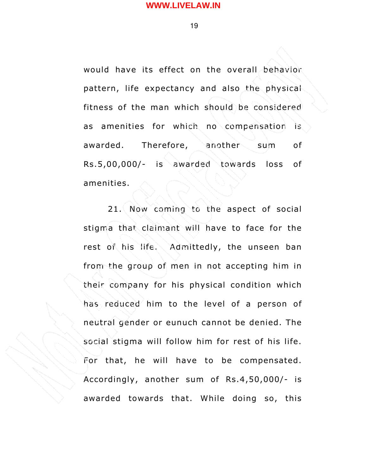19

would have its effect on the overall behavior pattern, life expectancy and also the physical fitness of the man which should be considered as amenities for which no compensation is awarded. Therefore, another sum of Rs.5,00,000/- is awarded towards loss of amenities.

21. Now coming to the aspect of social stigma that claimant will have to face for the rest of his life. Admittedly, the unseen ban from the group of men in not accepting him in their company for his physical condition which has reduced him to the level of a person of neutral gender or eunuch cannot be denied. The social stigma will follow him for rest of his life. For that, he will have to be compensated. Accordingly, another sum of Rs.4,50,000/- is awarded towards that. While doing so, this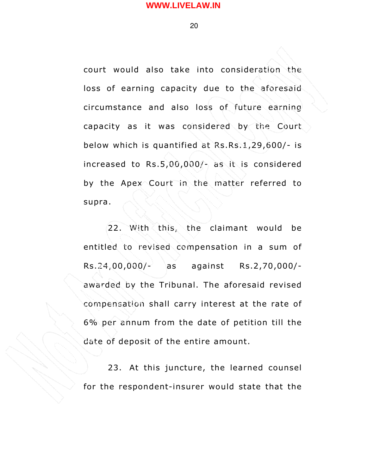20

court would also take into consideration the loss of earning capacity due to the aforesaid circumstance and also loss of future earning capacity as it was considered by the Court below which is quantified at Rs.Rs.1,29,600/- is increased to Rs.5,00,000/- as it is considered by the Apex Court in the matter referred to supra.

22. With this, the claimant would be entitled to revised compensation in a sum of Rs.24,00,000/- as against Rs.2,70,000/ awarded by the Tribunal. The aforesaid revised compensation shall carry interest at the rate of 6% per annum from the date of petition till the date of deposit of the entire amount.

23. At this juncture, the learned counsel for the respondent-insurer would state that the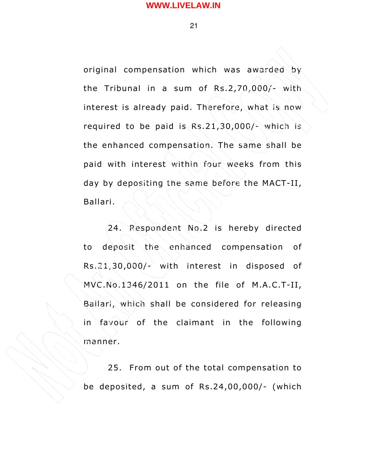21

original compensation which was awarded by the Tribunal in a sum of  $Rs.2,70,000/-$  with interest is already paid. Therefore, what is now required to be paid is Rs.21,30,000/- which is the enhanced compensation. The same shall be paid with interest within four weeks from this day by depositing the same before the MACT-II, Ballari.

24. Respondent No.2 is hereby directed to deposit the enhanced compensation of Rs.21,30,000/- with interest in disposed of  $MVC.No.1346/2011$  on the file of M.A.C.T-II, Ballari, which shall be considered for releasing in favour of the claimant in the following manner.

25. From out of the total compensation to be deposited, a sum of Rs.24,00,000/- (which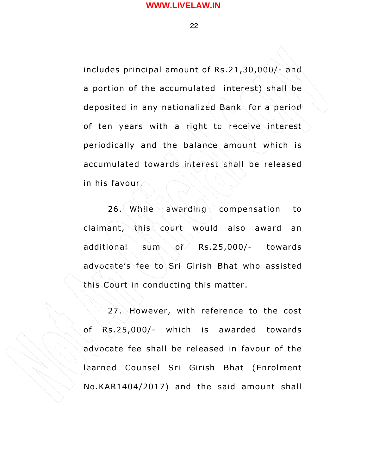22

includes principal amount of  $Rs.21,30,000/$ - and a portion of the accumulated interest) shall be deposited in any nationalized Bank for a period of ten years with a right to receive interest periodically and the balance amount which is accumulated towards interest shall be released in his favour.

26. While awarding compensation to claimant, this court would also award an additional sum of Rs.25,000/- towards advocate's fee to Sri Girish Bhat who assisted this Court in conducting this matter.

27. However, with reference to the cost of Rs.25,000/- which is awarded towards advocate fee shall be released in favour of the learned Counsel Sri Girish Bhat (Enrolment No.KAR1404/2017) and the said amount shall